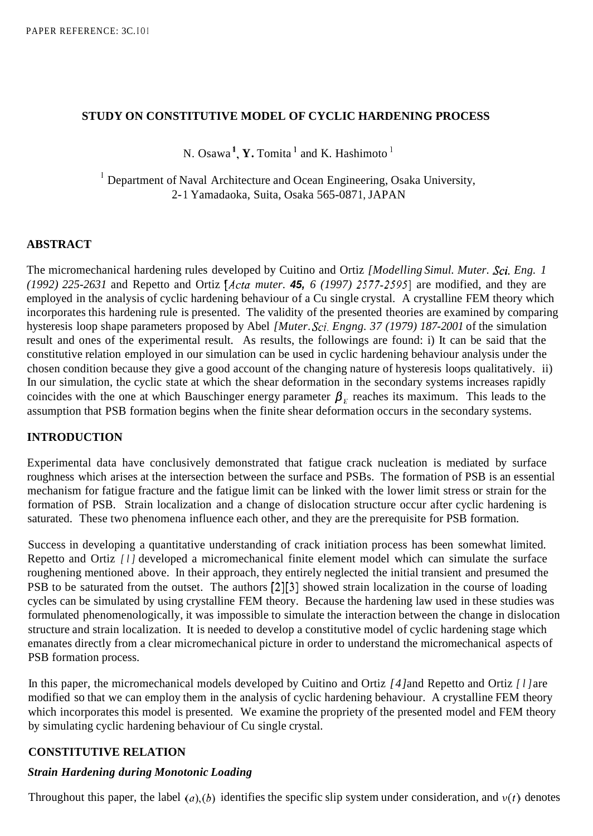### **STUDY ON CONSTITUTIVE MODEL OF CYCLIC HARDENING PROCESS**

N. Osawa<sup>1</sup>, **Y.** Tomita<sup>1</sup> and K. Hashimoto<sup>1</sup>

<sup>I</sup> Department of Naval Architecture and Ocean Engineering, Osaka University, 2- 1 Yamadaoka, Suita, Osaka 565-087 1, JAPAN

### **ABSTRACT**

The micromechanical hardening rules developed by Cuitino and Ortiz *[Modelling Simul. Muter. Sci. Eng. 1 (1992) 225-2631* and Repetto and Ortiz *[Acta muter. 45, 6 (1 997) 2.577-25951* are modified, and they are employed in the analysis of cyclic hardening behaviour of a Cu single crystal. A crystalline FEM theory which incorporates this hardening rule is presented. The validity of the presented theories are examined by comparing hysteresis loop shape parameters proposed by Abel *[Muter. Sci. Engng. 37 (1979) 187-2001* of the simulation result and ones of the experimental result. As results, the followings are found: i) It can be said that the constitutive relation employed in our simulation can be used in cyclic hardening behaviour analysis under the chosen condition because they give a good account of the changing nature of hysteresis loops qualitatively. ii) In our simulation, the cyclic state at which the shear deformation in the secondary systems increases rapidly coincides with the one at which Bauschinger energy parameter  $\beta_E$  reaches its maximum. This leads to the assumption that PSB formation begins when the finite shear deformation occurs in the secondary systems.

### **INTRODUCTION**

Experimental data have conclusively demonstrated that fatigue crack nucleation is mediated by surface roughness which arises at the intersection between the surface and PSBs. The formation of PSB is an essential mechanism for fatigue fracture and the fatigue limit can be linked with the lower limit stress or strain for the formation of PSB. Strain localization and a change of dislocation structure occur after cyclic hardening is saturated. These two phenomena influence each other, and they are the prerequisite for PSB formation.

Success in developing a quantitative understanding of crack initiation process has been somewhat limited. Repetto and Ortiz *[l]* developed a micromechanical finite element model which can simulate the surface roughening mentioned above. In their approach, they entirely neglected the initial transient and presumed the PSB to be saturated from the outset. The authors [2][3] showed strain localization in the course of loading cycles can be simulated by using crystalline FEM theory. Because the hardening law used in these studies was formulated phenomenologically, it was impossible to simulate the interaction between the change in dislocation structure and strain localization. It is needed to develop a constitutive model of cyclic hardening stage which emanates directly from a clear micromechanical picture in order to understand the micromechanical aspects of PSB formation process.

In this paper, the micromechanical models developed by Cuitino and Ortiz *[4]* and Repetto and Ortiz *[l]* are modified so that we can employ them in the analysis of cyclic hardening behaviour. A crystalline FEM theory which incorporates this model is presented. We examine the propriety of the presented model and FEM theory by simulating cyclic hardening behaviour of Cu single crystal.

### **CONSTITUTIVE RELATION**

# *Strain Hardening during Monotonic Loading*

Throughout this paper, the label  $(a)$ ,  $(b)$  identifies the specific slip system under consideration, and  $v(t)$  denotes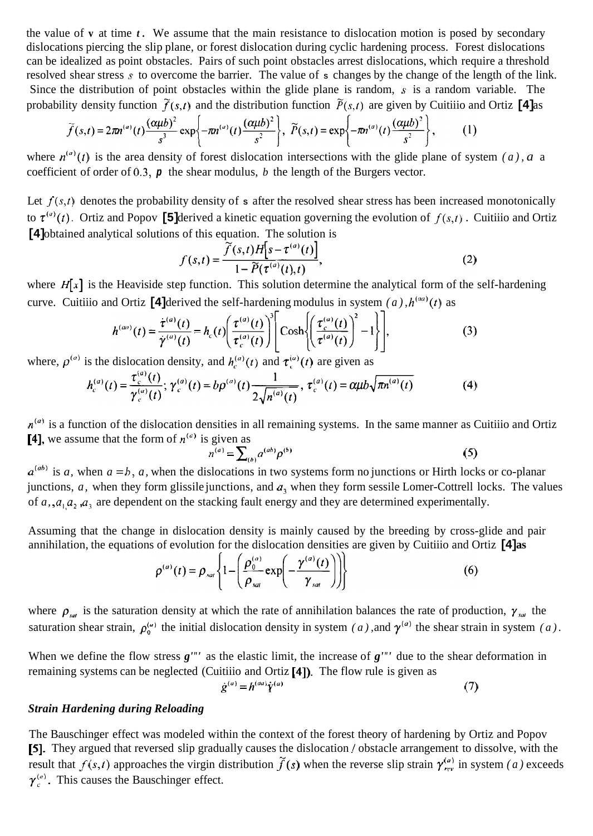the value of **v** at time *t.* We assume that the main resistance to dislocation motion is posed by secondary dislocations piercing the slip plane, or forest dislocation during cyclic hardening process. Forest dislocations can be idealized as point obstacles. Pairs of such point obstacles arrest dislocations, which require a threshold resolved shear stress *s* to overcome the barrier. The value of **s** changes by the change of the length of the link. Since the distribution of point obstacles within the glide plane is random, *s* is a random variable. The probability density function  $\tilde{f}(s,t)$  and the distribution function  $\tilde{P}(s,t)$  are given by Cuitiiio and Ortiz **[4]** as

$$
\widetilde{f}(s,t)=2\pi n^{(a)}(t)\frac{(\alpha\mu b)^2}{s^3}\exp\left\{-\pi n^{(a)}(t)\frac{(\alpha\mu b)^2}{s^2}\right\},\quad \widetilde{P}(s,t)=\exp\left\{-\pi n^{(a)}(t)\frac{(\alpha\mu b)^2}{s^2}\right\},\quad (1)
$$

where  $n^{(a)}(t)$  is the area density of forest dislocation intersections with the glide plane of system *(a), a* a coefficient of order of **0.3,** *p* the shear modulus, *b* the length of the Burgers vector.

Let  $f(s,t)$  denotes the probability density of **s** after the resolved shear stress has been increased monotonically to  $\tau^{(a)}(t)$ . Ortiz and Popov **[5]** derived a kinetic equation governing the evolution of  $f(s,t)$ . Cuitiiio and Ortiz **[4]** obtained analytical solutions of this equation. The solution is

$$
f(s,t) = \frac{\overline{\widetilde{f}(s,t)H[s-\tau^{(a)}(t)]}}{1-\widetilde{P}(\tau^{(a)}(t),t)},
$$
\nwhere  $H[x]$  is the Heaviside step function. This solution determine the analytical form of the self-hardening

curve. Cuitiiio and Ortiz **[4]** derived the self-hardening modulus in system  $(a)$ ,  $h^{(aa)}(t)$  as

$$
h^{(aa)}(t) = \frac{\dot{\tau}^{(a)}(t)}{\dot{\gamma}^{(a)}(t)} = h_c(t) \left( \frac{\tau^{(a)}(t)}{\tau_c^{(a)}(t)} \right)^3 \left[ \cosh \left( \left( \frac{\tau_c^{(a)}(t)}{\tau_c^{(a)}(t)} \right)^2 - 1 \right] \right],
$$
 (3)

where,  $\rho^{(a)}$  is the dislocation density, and  $h_c^{(a)}(t)$  and  $\tau_c^{(a)}(t)$  are given as

$$
h_c^{(a)}(t) = \frac{\tau_c^{(a)}(t)}{\gamma_c^{(a)}(t)}; \, \gamma_c^{(a)}(t) = b\rho^{(a)}(t) \frac{1}{2\sqrt{n^{(a)}(t)}}, \, \tau_c^{(a)}(t) = \alpha \mu b \sqrt{\pi n^{(a)}(t)} \tag{4}
$$

 $n^{(a)}$  is a function of the dislocation densities in all remaining systems. In the same manner as Cuitiiio and Ortiz **[4],** we assume that the form of  $n^{(a)}$  is given as

$$
n^{(a)} = \sum_{(b)} a^{(ab)} p^{(b)}
$$
 (5)

 $a^{(ab)}$  is *a*, when  $a = b$ , *a*, when the dislocations in two systems form no junctions or Hirth locks or co-planar junctions,  $a$ , when they form glissile junctions, and  $a_3$  when they form sessile Lomer-Cottrell locks. The values of  $a_1$ ,  $a_1$ ,  $a_2$ ,  $a_3$  are dependent on the stacking fault energy and they are determined experimentally.

Assuming that the change in dislocation density is mainly caused by the breeding by cross-glide and pair annihilation, the equations of evolution for the dislocation densities are given by Cuitiiio and Ortiz **[4] as** 

$$
\rho^{(a)}(t) = \rho_{sat} \left\{ 1 - \left( \frac{\rho_0^{(a)}}{\rho_{sat}} \exp\left( -\frac{\gamma^{(a)}(t)}{\gamma_{sat}} \right) \right) \right\} \tag{6}
$$

where  $\rho_{\text{sat}}$  is the saturation density at which the rate of annihilation balances the rate of production,  $\gamma_{\text{sat}}$  the saturation shear strain,  $\rho_0^{(a)}$  the initial dislocation density in system *(a)*, and  $\gamma^{(a)}$  the shear strain in system *(a)*.

When we define the flow stress  $g''''$  as the elastic limit, the increase of  $g''''$  due to the shear deformation in remaining systems can be neglected (Cuitiiio and Ortiz **[4]).** The flow rule is given as

$$
\dot{g}^{(a)} = h^{(aa)} \dot{Y}^{(a)} \tag{7}
$$

### *Strain Hardening during Reloading*

The Bauschinger effect was modeled within the context of the forest theory of hardening by Ortiz and Popov **[5].** They argued that reversed slip gradually causes the dislocation / obstacle arrangement to dissolve, with the result that  $f(s,t)$  approaches the virgin distribution  $\tilde{f}(s)$  when the reverse slip strain  $\gamma_{\text{rev}}^{(a)}$  in system *(a)* exceeds  $\gamma_c^{(a)}$ . This causes the Bauschinger effect.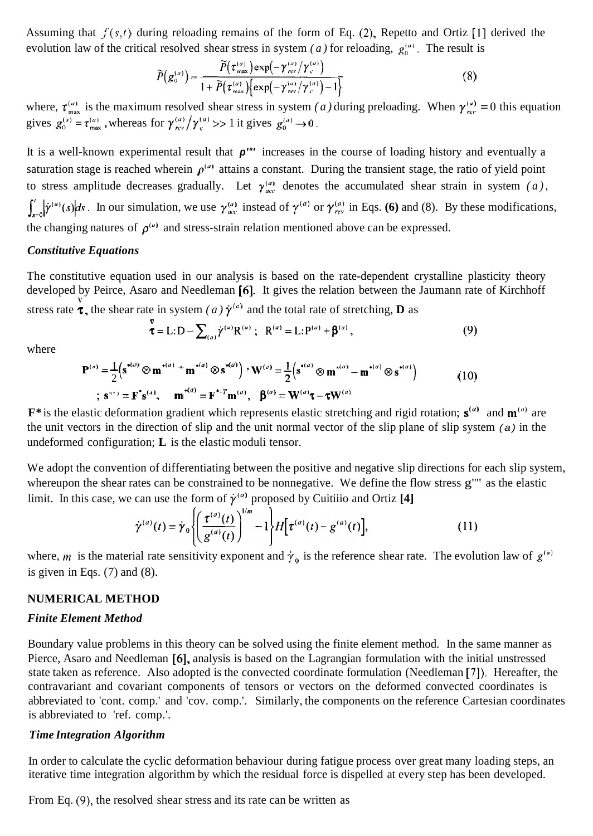Assuming that *f(s,t)* during reloading remains of the form of Eq. (2), Repetto and Ortiz [l] derived the evolution law of the critical resolved shear stress in system *(a)* for reloading,  $g_0^{(a)}$ . The result is

$$
\widetilde{P}(g_o^{(a)}) = \frac{\widetilde{P}(\tau_{\text{max}}^{(a)}) \exp(-\gamma_{\text{rev}}^{(a)}/\gamma_c^{(a)})}{1 + \widetilde{P}(\tau_{\text{max}}^{(a)}) \left\{ \exp(-\gamma_{\text{rev}}^{(a)}/\gamma_c^{(a)}) - 1 \right\}}
$$
(8)

where,  $\tau_{\text{max}}^{(a)}$  is the maximum resolved shear stress in system *(a)* during preloading. When  $\gamma_{\text{max}}^{(a)} = 0$  this equation gives  $g_0^{(a)} = \tau_{\text{max}}^{(a)}$ , whereas for  $\gamma_{\text{rev}}^{(a)} / \gamma_{\text{c}}^{(a)} >> 1$  it gives  $g_0^{(a)} \rightarrow 0$ .

It is a well-known experimental result that *p'"'* increases in the course of loading history and eventually a saturation stage is reached wherein  $\rho^{(a)}$  attains a constant. During the transient stage, the ratio of yield point to stress amplitude decreases gradually. Let  $\gamma_{ac}^{(a)}$  denotes the accumulated shear strain in system *(a)*,  $\int_{s=0}^{t} |\dot{\gamma}^{(a)}(s)|ds$ . In our simulation, we use  $\gamma_{acc}^{(a)}$  instead of  $\gamma_{rev}^{(a)}$  or  $\gamma_{rev}^{(a)}$  in Eqs. (6) and (8). By these modifications, the changing natures of  $\rho^{(a)}$  and stress-strain relation mentioned above can be expressed.

#### *Constitutive Equations*

The constitutive equation used in our analysis is based on the rate-dependent crystalline plasticity theory developed by Peirce, Asaro and Needleman **[6].** It gives the relation between the Jaumann rate of Kirchhoff stress rate  $\tau$ , the shear rate in system *(a)*  $\dot{\gamma}^{(a)}$  and the total rate of stretching, **D** as

$$
\bar{\mathbf{r}} = \mathbf{L} : \mathbf{D} - \sum_{(a)} \dot{\gamma}^{(a)} \mathbf{R}^{(a)}; \quad \mathbf{R}^{(a)} = \mathbf{L} : \mathbf{P}^{(a)} + \mathbf{\beta}^{(a)}, \tag{9}
$$

where

$$
\mathbf{P}^{(a)} = \frac{1}{2} (\mathbf{s}^{*(a)} \otimes \mathbf{m}^{*(a)} + \mathbf{m}^{*(a)} \otimes \mathbf{s}^{*(a)}) \cdot \mathbf{W}^{(a)} = \frac{1}{2} (\mathbf{s}^{*(a)} \otimes \mathbf{m}^{*(a)} - \mathbf{m}^{*(a)} \otimes \mathbf{s}^{*(a)})
$$
(10)  
; $\mathbf{s}^{(a)} = \mathbf{F}^{\dagger} \mathbf{s}^{(a)}, \quad \mathbf{m}^{*(a)} = \mathbf{F}^{\dagger - T} \mathbf{m}^{(a)}, \quad \mathbf{\beta}^{(a)} = \mathbf{W}^{(a)} \boldsymbol{\tau} - \boldsymbol{\tau} \mathbf{W}^{(a)}$ 

**F**\* is the elastic deformation gradient which represents elastic stretching and rigid rotation;  $s^{(a)}$  and  $m^{(a)}$  are the unit vectors in the direction of slip and the unit normal vector of the slip plane of slip system *(a)* in the undeformed configuration; **L** is the elastic moduli tensor.

We adopt the convention of differentiating between the positive and negative slip directions for each slip system, whereupon the shear rates can be constrained to be nonnegative. We define the flow stress g"" as the elastic limit. In this case, we can use the form of  $\dot{\gamma}^{(a)}$  proposed by Cuitiiio and Ortiz [4]

$$
\dot{\gamma}^{(a)}(t) = \dot{\gamma}_0 \left\{ \left( \frac{\tau^{(a)}(t)}{g^{(a)}(t)} \right)^{1/m} - 1 \right\} H\left[ \tau^{(a)}(t) - g^{(a)}(t) \right],\tag{11}
$$

where, *m* is the material rate sensitivity exponent and  $\dot{\gamma}_0$  is the reference shear rate. The evolution law of  $g^{(u)}$ is given in Eqs.  $(7)$  and  $(8)$ .

#### **NUMERICAL METHOD**

#### *Finite Element Method*

Boundary value problems in this theory can be solved using the finite element method. In the same manner as Pierce, Asaro and Needleman **[6],** analysis is based on the Lagrangian formulation with the initial unstressed state taken as reference. Also adopted is the convected coordinate formulation (Needleman [7]). Hereafter, the contravariant and covariant components of tensors or vectors on the deformed convected coordinates is abbreviated to 'cont. comp.' and 'cov. comp.'. Similarly, the components on the reference Cartesian coordinates is abbreviated to 'ref. comp.'.

#### *Time Integration Algorithm*

In order to calculate the cyclic deformation behaviour during fatigue process over great many loading steps, an iterative time integration algorithm by which the residual force is dispelled at every step has been developed.

From Eq. *(9),* the resolved shear stress and its rate can be written as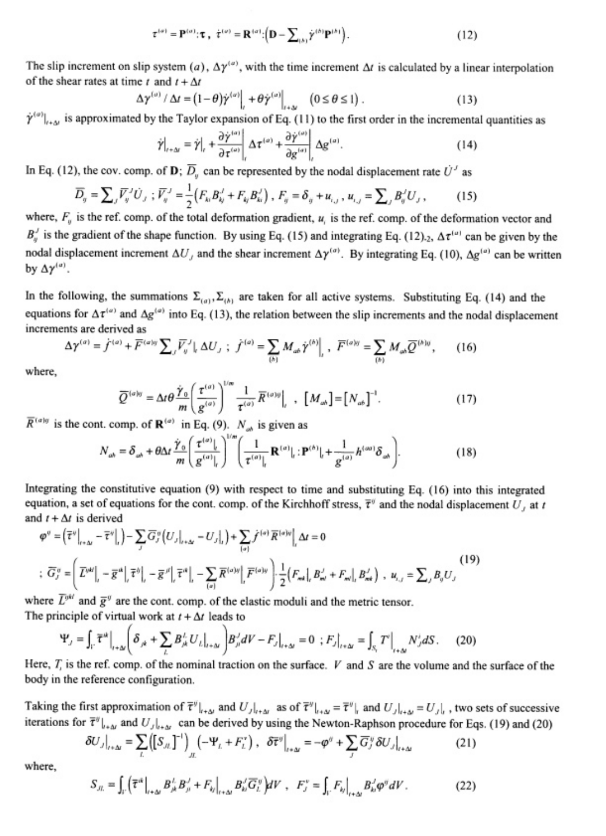$$
\tau^{(\sigma)} = \mathbf{P}^{(\sigma)} : \tau \; , \; \dot{\tau}^{(\sigma)} = \mathbf{R}^{(\sigma)} : \left( \mathbf{D} - \sum_{(\sigma)} \dot{\gamma}^{(\sigma)} \mathbf{P}^{(\sigma)} \right). \tag{12}
$$

The slip increment on slip system (a),  $\Delta \gamma^{(a)}$ , with the time increment  $\Delta t$  is calculated by a linear interpolation of the shear rates at time t and  $t + \Delta t$ 

$$
\Delta \gamma^{(\omega)} / \Delta t = (1 - \theta) \dot{\gamma}^{(\omega)} \Big|_{t \to \Delta t} + \theta \dot{\gamma}^{(\omega)} \Big|_{t \to \Delta t} \quad (0 \le \theta \le 1) \; . \tag{13}
$$

 $\dot{\gamma}^{(o)}|_{t+\Delta t}$  is approximated by the Taylor expansion of Eq. (11) to the first order in the incremental quantities as

$$
\dot{\gamma}\big|_{t+\Delta t} = \dot{\gamma}\big|_{t} + \frac{\partial \dot{\gamma}^{(\alpha)}}{\partial \tau^{(\alpha)}}\bigg|_{t} \Delta \tau^{(\alpha)} + \frac{\partial \dot{\gamma}^{(\alpha)}}{\partial g^{(\alpha)}}\bigg|_{t} \Delta g^{(\alpha)}.\tag{14}
$$

In Eq. (12), the cov. comp. of **D**;  $\overline{D}_y$  can be represented by the nodal displacement rate  $U'$  as

$$
\overline{D}_g = \sum_j \overline{V}_g^j U_j ; \overline{V}_g^j = \frac{1}{2} (F_{ki} B_{kj}^j + F_{ij} B_{ki}^j) , F_g = \delta_g + u_{i,j} , u_{i,j} = \sum_j B_g^j U_j ,
$$
 (15)

where,  $F_u$  is the ref. comp. of the total deformation gradient,  $u_i$  is the ref. comp. of the deformation vector and  $B_{\eta}^{J}$  is the gradient of the shape function. By using Eq. (15) and integrating Eq. (12).<sub>2</sub>,  $\Delta \tau^{(\mu)}$  can be given by the nodal displacement increment  $\Delta U_j$  and the shear increment  $\Delta \gamma^{(a)}$ . By integrating Eq. (10),  $\Delta g^{(a)}$  can be written by  $\Delta \gamma^{(a)}$ .

In the following, the summations  $\Sigma_{(a)}$ ,  $\Sigma_{(b)}$  are taken for all active systems. Substituting Eq. (14) and the equations for  $\Delta \tau^{(\omega)}$  and  $\Delta g^{(\omega)}$  into Eq. (13), the relation between the slip increments and the nodal displacement increments are derived as

$$
\Delta \gamma^{(a)} = f^{(a)} + \overline{F}^{(a)y} \sum_{j} \overline{V}_{ij}^{j} |_{k} \Delta U_{j} ; \ \dot{f}^{(a)} = \sum_{(b)} M_{ab} \dot{\gamma}^{(b)} |_{k} , \ \overline{F}^{(a)y} = \sum_{(b)} M_{ab} \overline{Q}^{(b)y}, \tag{16}
$$

where.

$$
\overline{Q}^{(a|y)} = \Delta t \theta \frac{\dot{\gamma}_0}{m} \left( \frac{\tau^{(a)}}{g^{(a)}} \right)^{1/m} \frac{1}{\tau^{(a)}} \overline{R}^{(a)g} \Big|_{t} , \quad [M_{ab}] = [N_{ab}]^{-1}.
$$
 (17)

 $\overline{R}^{(a)g}$  is the cont. comp. of  $\mathbf{R}^{(a)}$  in Eq. (9).  $N_{ab}$  is given as

$$
N_{\omega_b} = \delta_{\omega_b} + \theta \Delta t \frac{\dot{\gamma}_0}{m} \left( \frac{\tau^{(\sigma)}|_t}{g^{(\sigma)}|_t} \right)^{1/m} \left( \frac{1}{\tau^{(\sigma)}|_t} \mathbf{R}^{(\sigma)}|_t : \mathbf{P}^{(\sigma)}|_t + \frac{1}{g^{(\sigma)}} h^{(\infty)} \delta_{\omega_b} \right). \tag{18}
$$

Integrating the constitutive equation (9) with respect to time and substituting Eq. (16) into this integrated equation, a set of equations for the cont. comp. of the Kirchhoff stress,  $\bar{\tau}^{\circ}$  and the nodal displacement U, at t and  $t + \Delta t$  is derived

$$
\varphi^{\sigma} = \left(\overline{\tau}^{\nu}\Big|_{r+\Delta t} - \overline{\tau}^{\nu}\Big|_{r}\right) - \sum_{j} \overline{G}_{j}^{\sigma} \left(U_{j}\Big|_{r+\Delta t} - U_{j}\Big|_{r}\right) + \sum_{(a)} \overline{f}^{(a)\nu}\Big|_{r} \Delta t = 0
$$
\n
$$
\vdots \quad \overline{G}_{j}^{\sigma} = \left(\overline{L}^{\mu\nu}\Big|_{r} - \overline{g}^{\mu\nu}\Big|_{r} \overline{\tau}^{\delta}\Big|_{r} - \overline{g}^{\mu\nu}\Big|_{r} \overline{\tau}^{\delta\kappa}\Big|_{r} - \sum_{(a)} \overline{R}^{\{\sigma\}\nu}\Big|_{r} \overline{F}^{\{\sigma\}\nu}\right) \cdot \frac{1}{2} \left(F_{\kappa\kappa}\Big|_{r} B_{\kappa\sigma}^{J} + F_{\kappa\nu}\Big|_{r} B_{\kappa\kappa}^{J}\right) , \quad u_{i,j} = \sum_{j} B_{j} U_{j} \tag{19}
$$

where  $\overline{L}^{0H}$  and  $\overline{g}^{ij}$  are the cont. comp. of the elastic moduli and the metric tensor. The principle of virtual work at  $t + \Delta t$  leads to

$$
\Psi_{j} = \int_{V} \overline{\tau}^{u} \Big|_{t+\Delta t} \Bigg( \delta_{jk} + \sum_{l} B_{jk}^{l} U_{l} \Big|_{t+\Delta t} \Bigg) B_{jl}^{j} dV - F_{j} \Big|_{t+\Delta t} = 0 \, ; F_{j} \Big|_{t+\Delta t} = \int_{S_{1}} T^{l} \Big|_{t+\Delta t} N_{j}^{i} dS. \tag{20}
$$

Here,  $T_i$  is the ref. comp. of the nominal traction on the surface. V and S are the volume and the surface of the body in the reference configuration.

Taking the first approximation of  $\overline{\tau}^{y}|_{t+\Delta t}$  and  $U_{j}|_{t+\Delta t}$  as of  $\overline{\tau}^{y}|_{t+\Delta t} = \overline{\tau}^{y}|_{t}$  and  $U_{j}|_{t+\Delta t} = U_{j}|_{t}$ , two sets of successive iterations for  $\bar{\tau}^{\theta} \big|_{\theta \to 0}$  and  $U_{J} \big|_{\theta \to 0}$  can be derived by using the Newton-Raphson procedure for Eqs. (19) and (20)

$$
\delta U_{J}|_{t+\Delta t} = \sum_{L} \left( \left[ S_{JL} \right]^{-1} \right)_{JL} \left( -\Psi_{L} + F_{L}^{*} \right), \quad \delta \overline{\tau}^{\circ j} \Big|_{t+\Delta t} = -\varphi^{\circ j} + \sum_{J} \overline{G}_{J}^{\circ j} \delta U_{J} \Big|_{t+\Delta t}
$$
(21)

where,

$$
S_{ji.} = \int_{V} \left( \overline{\tau}^{ik} \Big|_{t+\Delta t} B_{ji}^{L} B_{ji}^{J} + F_{ij} \Big|_{t+\Delta t} B_{kl}^{J} \overline{G}_{li}^{g} \right) dV , \quad F_{j}^{v} = \int_{V} F_{kj} \Big|_{t+\Delta t} B_{kl}^{J} \varphi^{g} dV . \tag{22}
$$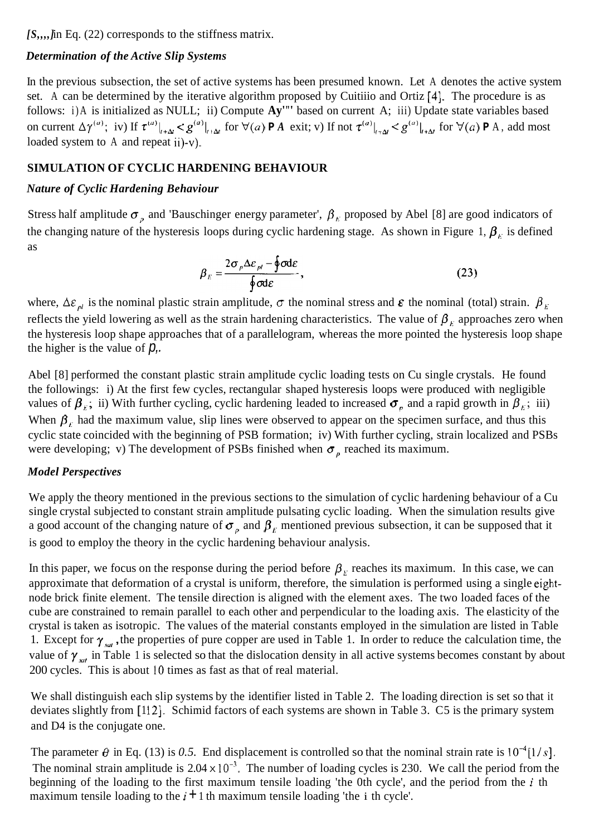*[S,,,,]* in Eq. (22) corresponds to the stiffness matrix.

## *Determination of the Active Slip Systems*

In the previous subsection, the set of active systems has been presumed known. Let A denotes the active system set. A can be determined by the iterative algorithm proposed by Cuitiiio and Ortiz [4]. The procedure is as follows: i)A is initialized as NULL; ii) Compute **Ay'"'** based on current A; iii) Update state variables based on current  $\Delta \gamma^{(a)}$ ; iv) If  $\tau^{(a)}|_{t+\Delta t} < g^{(a)}|_{t+\Delta t}$  for  $\forall (a) \triangleright A$  exit; v) If not  $\tau^{(a)}|_{t+\Delta t} < g^{(a)}|_{t+\Delta t}$  for  $\forall (a) \triangleright A$ , add most loaded system to A and repeat ii)-v).

# **SIMULATION OF CYCLIC HARDENING BEHAVIOUR**

# *Nature of Cyclic Hardening Behaviour*

Stress half amplitude  $\sigma$ <sub>n</sub> and 'Bauschinger energy parameter',  $\beta$ <sub>k</sub> proposed by Abel [8] are good indicators of the changing nature of the hysteresis loops during cyclic hardening stage. As shown in Figure 1,  $\beta_k$  is defined as

$$
\beta_E = \frac{2\sigma_p \Delta \varepsilon_{pl} - \oint \sigma d\varepsilon}{\oint \sigma d\varepsilon},
$$
\n(23)

where,  $\Delta \varepsilon_{nl}$  is the nominal plastic strain amplitude,  $\sigma$  the nominal stress and  $\varepsilon$  the nominal (total) strain.  $\beta_{E}$ reflects the yield lowering as well as the strain hardening characteristics. The value of  $\beta_F$  approaches zero when the hysteresis loop shape approaches that of a parallelogram, whereas the more pointed the hysteresis loop shape the higher is the value of  $p$ ,.

Abel [8] performed the constant plastic strain amplitude cyclic loading tests on Cu single crystals. He found the followings: i) At the first few cycles, rectangular shaped hysteresis loops were produced with negligible values of  $\beta_k$ ; ii) With further cycling, cyclic hardening leaded to increased  $\sigma_p$  and a rapid growth in  $\beta_k$ ; iii) When  $\beta_F$  had the maximum value, slip lines were observed to appear on the specimen surface, and thus this cyclic state coincided with the beginning of PSB formation; iv) With further cycling, strain localized and PSBs were developing; v) The development of PSBs finished when  $\sigma_p$  reached its maximum.

### *Model Perspectives*

We apply the theory mentioned in the previous sections to the simulation of cyclic hardening behaviour of a Cu single crystal subjected to constant strain amplitude pulsating cyclic loading. When the simulation results give a good account of the changing nature of  $\sigma$ <sub>n</sub> and  $\beta$ <sub>k</sub> mentioned previous subsection, it can be supposed that it is good to employ the theory in the cyclic hardening behaviour analysis.

In this paper, we focus on the response during the period before  $\beta_F$  reaches its maximum. In this case, we can approximate that deformation of a crystal is uniform, therefore, the simulation is performed using a single eightnode brick finite element. The tensile direction is aligned with the element axes. The two loaded faces of the cube are constrained to remain parallel to each other and perpendicular to the loading axis. The elasticity of the crystal is taken as isotropic. The values of the material constants employed in the simulation are listed in Table 1. Except for  $\gamma_{\text{sat}}$ , the properties of pure copper are used in Table 1. In order to reduce the calculation time, the value of  $\gamma_{sat}$  in Table 1 is selected so that the dislocation density in all active systems becomes constant by about 200 cycles. This is about 10 times as fast as that of real material.

We shall distinguish each slip systems by the identifier listed in Table 2. The loading direction is set so that it deviates slightly from [112]. Schimid factors of each systems are shown in Table 3. C5 is the primary system and D4 is the conjugate one.

The parameter  $\theta$  in Eq. (13) is 0.5. End displacement is controlled so that the nominal strain rate is  $10^{-4}$ [1/s]. The nominal strain amplitude is  $2.04 \times 10^{-3}$ . The number of loading cycles is 230. We call the period from the beginning of the loading to the first maximum tensile loading 'the 0th cycle', and the period from the *i* th maximum tensile loading to the  $i + 1$  th maximum tensile loading 'the i th cycle'.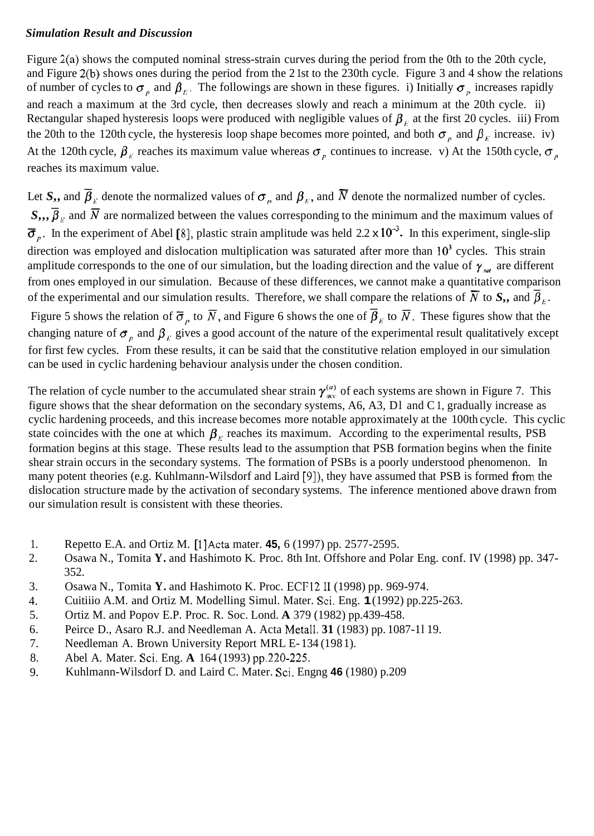### *Simulation Result and Discussion*

Figure 2(a) shows the computed nominal stress-strain curves during the period from the 0th to the 20th cycle, and Figure 2(b) shows ones during the period from the 2 1st to the 230th cycle. Figure 3 and 4 show the relations of number of cycles to  $\sigma_p$  and  $\beta_k$ . The followings are shown in these figures. i) Initially  $\sigma_p$  increases rapidly and reach a maximum at the 3rd cycle, then decreases slowly and reach a minimum at the 20th cycle. ii) Rectangular shaped hysteresis loops were produced with negligible values of  $\beta_F$  at the first 20 cycles. iii) From the 20th to the 120th cycle, the hysteresis loop shape becomes more pointed, and both  $\sigma_p$  and  $\beta_k$  increase. iv) At the 120th cycle,  $\beta_E$  reaches its maximum value whereas  $\sigma_p$  continues to increase. v) At the 150th cycle,  $\sigma_p$ reaches its maximum value.

Let *S*,, and  $\overline{\beta}_E$  denote the normalized values of  $\sigma_p$  and  $\beta_E$ , and  $\overline{N}$  denote the normalized number of cycles.  $S_{\mu}$ ,  $\overline{\beta}_E$  and  $\overline{N}$  are normalized between the values corresponding to the minimum and the maximum values of  $\overline{\sigma}$  . In the experiment of Abel [8], plastic strain amplitude was held 2.2 x 10<sup>-3</sup>. In this ex  $\overline{\sigma}_p$ . In the experiment of Abel [8], plastic strain amplitude was held 2.2 x 10<sup>-3</sup>. In this experiment, single-slip direction was employed and dislocation multiplication was saturated after more than  $10<sup>3</sup>$  cycles. This strain amplitude corresponds to the one of our simulation, but the loading direction and the value of  $\gamma_{sat}$  are different from ones employed in our simulation. Because of these differences, we cannot make a quantitative comparison of the experimental and our simulation results. Therefore, we shall compare the relations of  $\overline{N}$  to  $S_{\cdot}$ , and  $\overline{\beta}_{k}$ . Figure 5 shows the relation of  $\overline{\sigma}_p$  to  $\overline{N}$ , and Figure 6 shows the one of  $\overline{\beta}_k$  to  $\overline{N}$ . These figures show that the changing nature of  $\sigma_p$ , and  $\beta_k$  gives a good account of the nature of the experimental result qualitatively except for first few cycles. From these results, it can be said that the constitutive relation employed in our simulation can be used in cyclic hardening behaviour analysis under the chosen condition.

The relation of cycle number to the accumulated shear strain  $\gamma_{acc}^{(a)}$  of each systems are shown in Figure 7. This figure shows that the shear deformation on the secondary systems, A6, A3, Dl and C 1, gradually increase as cyclic hardening proceeds, and this increase becomes more notable approximately at the 100th cycle. This cyclic state coincides with the one at which  $\beta_F$  reaches its maximum. According to the experimental results, PSB formation begins at this stage. These results lead to the assumption that PSB formation begins when the finite shear strain occurs in the secondary systems. The formation of PSBs is a poorly understood phenomenon. In many potent theories (e.g. Kuhlmann-Wilsdorf and Laird [9]), they have assumed that PSB is formed from the dislocation structure made by the activation of secondary systems. The inference mentioned above drawn from our simulation result is consistent with these theories.

- 1. Repetto E.A. and Ortiz M. [1] Acta mater. **45,** 6 (1997) pp. 2577-2595.
- 2. Osawa N., Tomita **Y.** and Hashimoto K. Proc. 8th Int. Offshore and Polar Eng. conf. IV (1998) pp. 347- 352.
- 3. Osawa N., Tomita **Y.** and Hashimoto K. Proc. ECF12 I1 (1998) pp. 969-974.
- 4. Cuitiiio A.M. and Ortiz M. Modelling Simul. Mater. Sci. Eng. **1** (1992) pp.225-263.
- 5. Ortiz M. and Popov E.P. Proc. R. Soc. Lond. **A** 379 (1982) pp.439-458.
- 6. Peirce D., Asaro R.J. and Needleman A. Acta Metall. **31** (1983) pp. 1087-1 l 19.
- 7. Needleman A. Brown University Report MRL E-134 (1981).
- 8. Abel A. Mater. Sci. Eng. **A** 164 (1993) pp.220-225.
- 9. Kuhlmann-Wilsdorf D. and Laird C. Mater. Sci. Engng **46** (1980) p.209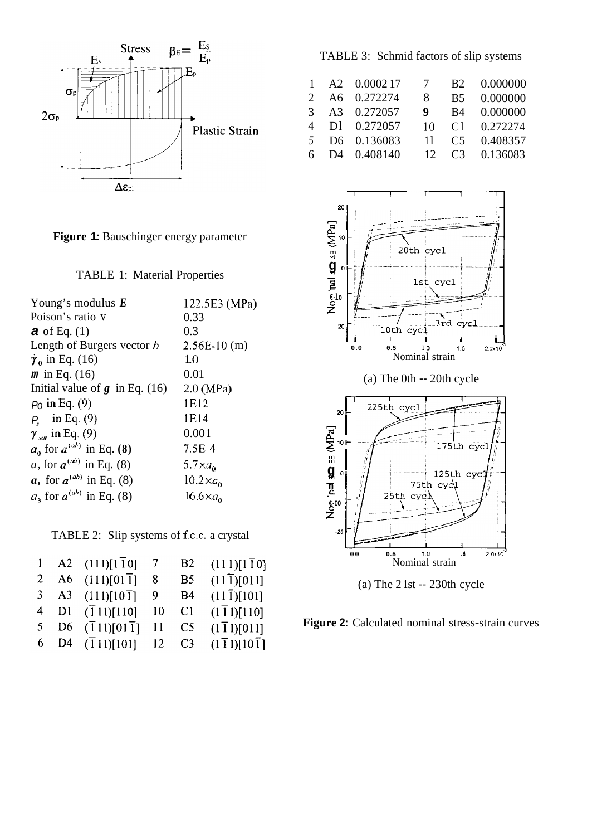

**Figure 1:** Bauschinger energy parameter

TABLE 1: Material Properties

| Young's modulus $\boldsymbol{E}$   | 122.5E3 (MPa)    |
|------------------------------------|------------------|
| Poison's ratio v                   | 0.33             |
| <b>a</b> of Eq. $(1)$              | 0.3              |
| Length of Burgers vector b         | $2.56E-10(m)$    |
| $\dot{\gamma}_0$ in Eq. (16)       | 1.0              |
| $m$ in Eq. (16)                    | 0.01             |
| Initial value of $g$ in Eq. (16)   | $2.0$ (MPa)      |
| $P0$ in Eq. (9)                    | 1E12             |
| $P_{\rm r}$ in Eq. (9)             | 1E14             |
| $\gamma$ <sub>sat</sub> in Eq. (9) | 0.001            |
| $a_0$ for $a^{(ab)}$ in Eq. (8)    | 7.5E-4           |
| a, for $a^{(ab)}$ in Eq. (8)       | 5.7 $\times a_0$ |
| a, for $a^{(ab)}$ in Eq. (8)       | $10.2\times ao$  |
| $a_1$ for $a^{(ab)}$ in Eq. (8)    | $16.6\times ao$  |

TABLE 2: Slip systems of f.c.c. a crystal

|                | A2 $(111)[1\overline{1}0]$        | $7\overline{ }$ | B2 | $(11\bar{1})[1\bar{1}0]$ |
|----------------|-----------------------------------|-----------------|----|--------------------------|
| $\mathbf{2}$   | A6 $(111)[01\overline{1}]$        | 8               | B5 | $(11\bar{1})$ [011]      |
| 3 <sup>7</sup> | A3 $(111)[10\overline{1}]$        | 9               | B4 | $(11\bar{1})[101]$       |
| 4              | $DI$ $(\overline{1}11)[110]$      | 10              | C1 | $(1\bar{1}1)[110]$       |
| 5 <sup>1</sup> | $D6 \quad (\bar{1}11)[01\bar{1}]$ | 11              | C5 | $(1\bar{1}1)[011]$       |
|                | 6 D4 $(\bar{1}11)[101]$           | 12              | C3 | (111)[101]               |

TABLE 3: Schmid factors of slip systems

| $\mathbf{1}$   | A2 0.000217             | $7\overline{ }$ | <b>B2</b> | 0.000000                |
|----------------|-------------------------|-----------------|-----------|-------------------------|
| $2^{\circ}$    | A6 0.272274             | 8               | <b>B5</b> | 0.000000                |
| $\mathcal{R}$  | A3 0.272057             | 9               | B4        | 0.000000                |
| $\overline{4}$ | D1 0.272057             | 10.             | C1        | 0.272274                |
| 5 <sup>7</sup> | D6 0.136083             | 11              | C5        | 0.408357                |
| 6              | D <sub>4</sub> 0.408140 | 12              |           | C <sub>3</sub> 0.136083 |



(a) The  $2$  1st  $-$  230th cycle